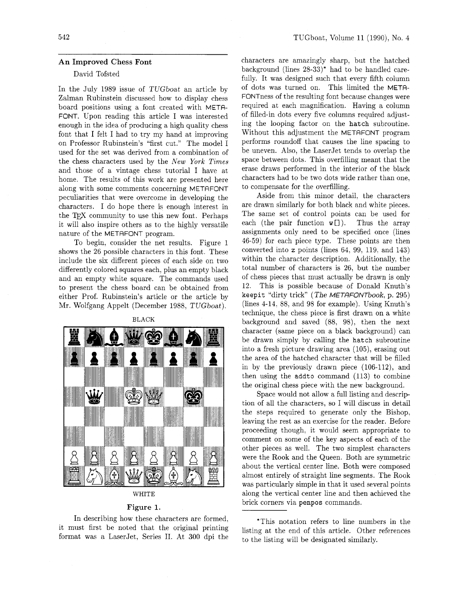## **An Improved Chess Font**

## David Tofsted

In the July 1989 issue of TUGboat an article by Zalman Rubinstein discussed how to display chess board positions using a font created with META-FONT. Upon reading this article I was interested enough in the idea of producing a high quality chess font that I felt I had to try my hand at improving on Professor Rubinstein's "first cut." The model I used for the set was derived from a combination of the chess characters used by the New York Times and those of a vintage chess tutorial I have at home. The results of this work are presented here along with some comments concerning METAFONT peculiarities that were overcome in developing the characters. I do hope there is enough interest in the T<sub>F</sub>X community to use this new font. Perhaps it will also inspire others as to the highly versatile nature of the METAFONT program.

To begin. consider the net results. Figure 1 shows the 26 possible characters in this font. These include the six different pieces of each side on two differently colored squares each, plus an empty black and an empty white square. The commands used to present the chess board can be obtained from either Prof. Rubinstein's article or the article by Mr. Wolfgang Appelt (December 1988, TUGboat).



## **WHITE**

## **Figure 1.**

In describing how these characters are formed, it must first be noted that the original printing format was a LaserJet, Series 11. At 300 dpi the characters are amazingly sharp, but the hatched background (lines  $28-33$ )<sup>\*</sup> had to be handled carefully. It was designed such that every fifth column of dots was turned on. This limited the META-FONTness of the resulting font because changes were required at each magnification. Having a column of filled-in dots every five columns required adjusting the looping factor on the **hatch** subroutine. Without this adjustment the METAFONT program performs roundoff that causes the line spacing to be uneven. Also, the LaserJet tends to overlap the space between dots. This overfilling meant that the erase draws performed in the interior of the black characters had to be two dots wide rather than one, to compensate for the overfilling.

Aside from this minor detail, the characters are drawn similarly for both black and white pieces. The same set of control points can be used for each (the pair function  $w[]$ ). Thus the array assignments only need to be specified once (lines 46-59) for each piece type. These points are then converted into z points (lines 64, 99. 119, and 143) within the character description. Additionally, the total number of characters is 26, but the number of chess pieces that must actually be drawn is only 12. This is possible because of Donald Knuth's **keepit** "dirty trick" (The METGFONTbook, p. 295) (lines 4-14. 88, and 98 for example). Using Knuth's technique, the chess piece is first drawn on a white background and saved (88, 98), then the next character (same piece on a black background) can be drawn simply by calling the **hatch** subroutine into a fresh picture drawing area (105), erasing out the area of the hatched character that will be filled in by the previously drawn piece (106-112), and then using the **addto** command (113) to combine the original chess piece with the new background.

Space would not allow a full listing and description of all the characters. so I will discuss in detail the steps required to generate only the Bishop. leaving the rest as an exercise for the reader. Before proceeding though, it would seem appropriate to comment on some of the key aspects of each of the other pieces as well. The two simplest characters were the Rook and the Queen. Both are symmetric about the vertical center line. Both were composed almost entirely of straight line segments. The Rook was particularly simple in that it used several points along the vertical center line and then achieved the brick corners via **penpos** commands.

'Ths notation refers to line numbers in the listing at the end of this article. Other references to the listing will be designated similarly.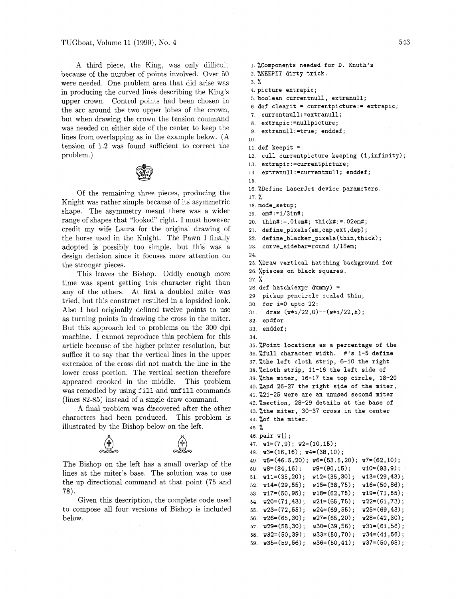A third piece, the King, was only difficult because of the number of points involved. Over 50 were needed. One problem area that did arise was in producing the curved lines describing the King's upper crown. Control points had been chosen in the arc around the two upper lobes of the crown, but when drawing the crown the tension command was needed on either side of the center to keep the lines from overlapping as in the example below. (A tension of 1.2 was found sufficient to correct the problem.)



Of the remaining three pieces, producing the Knight was rather simple because of its asymmetric shape. The asymmetry meant there was a wider range of shapes that "looked" right. I must however credit my wife Laura for the original drawing of the horse used in the Knight. The Pawn I finally adopted is possibly too simple, but this was a design decision since it focuses more attention on the stronger pieces.

This leaves the Bishop. Oddly enough more time was spent getting this character right than any of the others. At first a doubled miter was tried, but this construct resulted in a lopsided look. Also I had originally defined twelve points to use as turning points in drawing the cross in the miter. But this approach led to problems on the 300 dpi machine. I cannot reproduce this problem for this article because of the higher printer resolution, but suffice it to say that the vertical lines in the upper extension of the cross did not match the line in the lower cross portion. The vertical section therefore appeared crooked in the middle. This problem was remedied by using fill and unfill commands (lines 82-85) instead of a single draw command.

A final problem was discovered after the other characters had been produced. This problem is illustrated by the Bishop below on the left.



The Bishop on the left has a small overlap of the lines at the miter's base. The solution was to use the up directional command at that point (75 and 78).

Given this description, the complete code used to compose all four versions of Bishop is included below.

```
i.%Components needed for D. Knuth's 
2. @/,KEEPIT dirty trick. 
3. % 
4. picture extrapic; 
5.b00lean currentnull, extranull; 
6. def clearit = currentpicture:= extrapic;
7. currentnull:=extranull; 
8. extrapic: = nullpicture;
9. extranull:=true; enddef;
10. 
11. def keepit = 
12. cull currentpicture keeping (1,infinity); 
13. extrapic:=currentpicture; 
14. extranull:=currentnull; enddef; 
15. 
16. XDefine LaserJet device parameters.
17. % 
18. mode-setup; 
19. em#:=1/3in#; 
20. thin#:=.Olem#; thick#:=.02em#; 
21. define-pixels(em,cap,ext,dep); 
22. def ine-blacker-pixels(thin,thick) ; 
23. curve-sidebar=round 1/18em; 
24. 
25. %Draw vertical hatching background for 
26. %pieces on black squares. 
27. % 
28. def hatch(expr dummy) =
29, pickup pencircle scaled thin; 
30. for i=O upto 22: 
31. draw (w+i/22,0)--(w+i/22,h);32. endfor 
33. enddef; 
34. 
35. XPoint locations as a percentage of the
36. Xfull character width. #'s 1-5 define
37. %the left cloth strip, 6-10 the right 
38. %cloth strip, 11-16 the left side of 
39.%the miter, 16-17 the top circle, 18-20 
40. %and 26-27 the right side of the miter, 
41.%21-25 were are an unused second miter 
42. %section, 28-29 details at the base of 
43. %the miter, 30-37 cross in the center 
44. %of the miter. 
45. % 
46. pair w[];
47. w1=(7,9); w2=(10,15);48. w3=(16,16); w4=(38,10);
49. w5=(46.5,20); w6=(53.5,20); u7=(62,10); 
50. w8=(84,16); w9=(90,15); w10=(93,9);51. ull=(35,2O) ; w12=(35,30) ; v13=(29,43) ; 
52. w14=(29,55); w15=(38,75); w16=(50,86);53. w17=(50,95); w18=(62,75); w19=(71,55);<br>54. w20=(71,43); w21=(65,75); w22=(61,73);
54. w20=(71,43);
55. w23=(72,55); w24=(69,55); w25=(69,43);56. w26=(65,30); w27=(65,20); w28=(42,30);57. w29=(58,30); w30=(39,56); w31=(61,56);58. w32=(50,39); w33=(50,70); w34=(41,56);59. w35=(59,56); w36=(50,41); w37=(50,68);
```